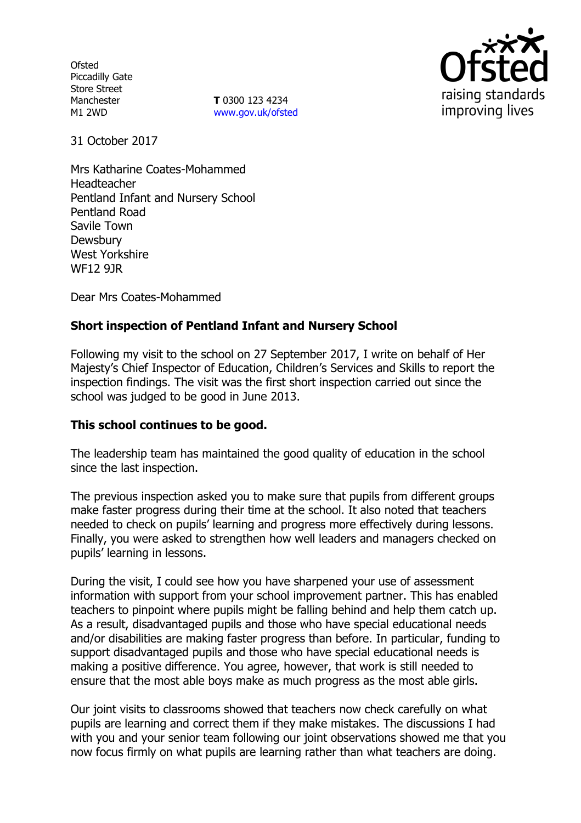**Ofsted** Piccadilly Gate Store Street Manchester M1 2WD

**T** 0300 123 4234 www.gov.uk/ofsted



31 October 2017

Mrs Katharine Coates-Mohammed Headteacher Pentland Infant and Nursery School Pentland Road Savile Town **Dewsbury** West Yorkshire WF12 9JR

Dear Mrs Coates-Mohammed

# **Short inspection of Pentland Infant and Nursery School**

Following my visit to the school on 27 September 2017, I write on behalf of Her Majesty's Chief Inspector of Education, Children's Services and Skills to report the inspection findings. The visit was the first short inspection carried out since the school was judged to be good in June 2013.

### **This school continues to be good.**

The leadership team has maintained the good quality of education in the school since the last inspection.

The previous inspection asked you to make sure that pupils from different groups make faster progress during their time at the school. It also noted that teachers needed to check on pupils' learning and progress more effectively during lessons. Finally, you were asked to strengthen how well leaders and managers checked on pupils' learning in lessons.

During the visit, I could see how you have sharpened your use of assessment information with support from your school improvement partner. This has enabled teachers to pinpoint where pupils might be falling behind and help them catch up. As a result, disadvantaged pupils and those who have special educational needs and/or disabilities are making faster progress than before. In particular, funding to support disadvantaged pupils and those who have special educational needs is making a positive difference. You agree, however, that work is still needed to ensure that the most able boys make as much progress as the most able girls.

Our joint visits to classrooms showed that teachers now check carefully on what pupils are learning and correct them if they make mistakes. The discussions I had with you and your senior team following our joint observations showed me that you now focus firmly on what pupils are learning rather than what teachers are doing.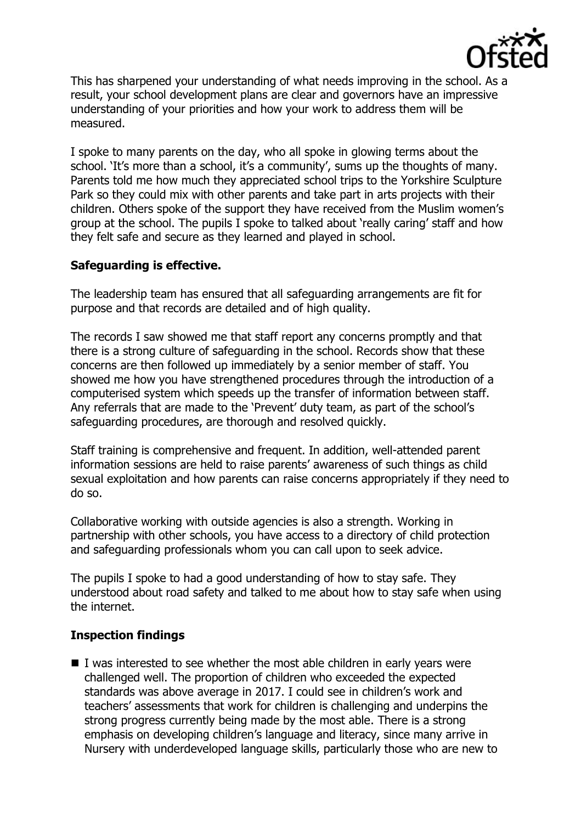

This has sharpened your understanding of what needs improving in the school. As a result, your school development plans are clear and governors have an impressive understanding of your priorities and how your work to address them will be measured.

I spoke to many parents on the day, who all spoke in glowing terms about the school. 'It's more than a school, it's a community', sums up the thoughts of many. Parents told me how much they appreciated school trips to the Yorkshire Sculpture Park so they could mix with other parents and take part in arts projects with their children. Others spoke of the support they have received from the Muslim women's group at the school. The pupils I spoke to talked about 'really caring' staff and how they felt safe and secure as they learned and played in school.

# **Safeguarding is effective.**

The leadership team has ensured that all safeguarding arrangements are fit for purpose and that records are detailed and of high quality.

The records I saw showed me that staff report any concerns promptly and that there is a strong culture of safeguarding in the school. Records show that these concerns are then followed up immediately by a senior member of staff. You showed me how you have strengthened procedures through the introduction of a computerised system which speeds up the transfer of information between staff. Any referrals that are made to the 'Prevent' duty team, as part of the school's safeguarding procedures, are thorough and resolved quickly.

Staff training is comprehensive and frequent. In addition, well-attended parent information sessions are held to raise parents' awareness of such things as child sexual exploitation and how parents can raise concerns appropriately if they need to do so.

Collaborative working with outside agencies is also a strength. Working in partnership with other schools, you have access to a directory of child protection and safeguarding professionals whom you can call upon to seek advice.

The pupils I spoke to had a good understanding of how to stay safe. They understood about road safety and talked to me about how to stay safe when using the internet.

# **Inspection findings**

 I was interested to see whether the most able children in early years were challenged well. The proportion of children who exceeded the expected standards was above average in 2017. I could see in children's work and teachers' assessments that work for children is challenging and underpins the strong progress currently being made by the most able. There is a strong emphasis on developing children's language and literacy, since many arrive in Nursery with underdeveloped language skills, particularly those who are new to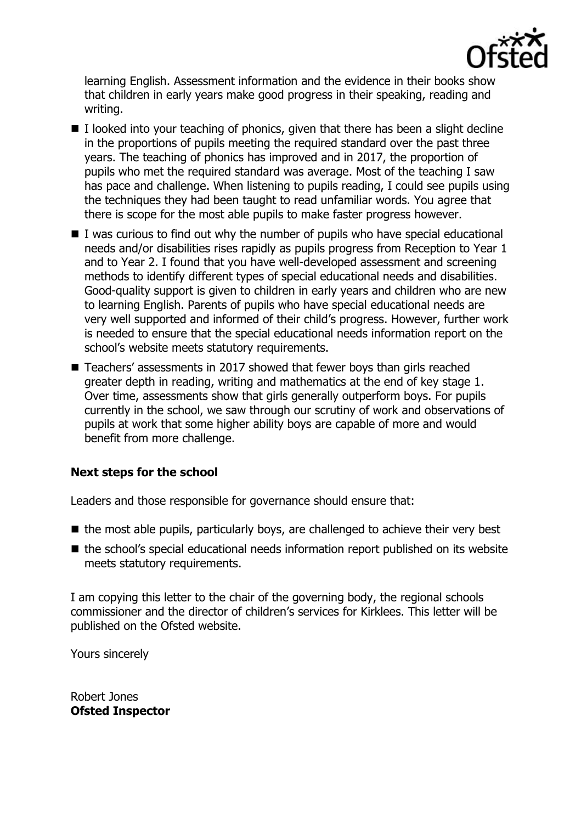

learning English. Assessment information and the evidence in their books show that children in early years make good progress in their speaking, reading and writing.

- $\blacksquare$  I looked into your teaching of phonics, given that there has been a slight decline in the proportions of pupils meeting the required standard over the past three years. The teaching of phonics has improved and in 2017, the proportion of pupils who met the required standard was average. Most of the teaching I saw has pace and challenge. When listening to pupils reading, I could see pupils using the techniques they had been taught to read unfamiliar words. You agree that there is scope for the most able pupils to make faster progress however.
- $\blacksquare$  I was curious to find out why the number of pupils who have special educational needs and/or disabilities rises rapidly as pupils progress from Reception to Year 1 and to Year 2. I found that you have well-developed assessment and screening methods to identify different types of special educational needs and disabilities. Good-quality support is given to children in early years and children who are new to learning English. Parents of pupils who have special educational needs are very well supported and informed of their child's progress. However, further work is needed to ensure that the special educational needs information report on the school's website meets statutory requirements.
- Teachers' assessments in 2017 showed that fewer boys than girls reached greater depth in reading, writing and mathematics at the end of key stage 1. Over time, assessments show that girls generally outperform boys. For pupils currently in the school, we saw through our scrutiny of work and observations of pupils at work that some higher ability boys are capable of more and would benefit from more challenge.

# **Next steps for the school**

Leaders and those responsible for governance should ensure that:

- $\blacksquare$  the most able pupils, particularly boys, are challenged to achieve their very best
- the school's special educational needs information report published on its website meets statutory requirements.

I am copying this letter to the chair of the governing body, the regional schools commissioner and the director of children's services for Kirklees. This letter will be published on the Ofsted website.

Yours sincerely

Robert Jones **Ofsted Inspector**